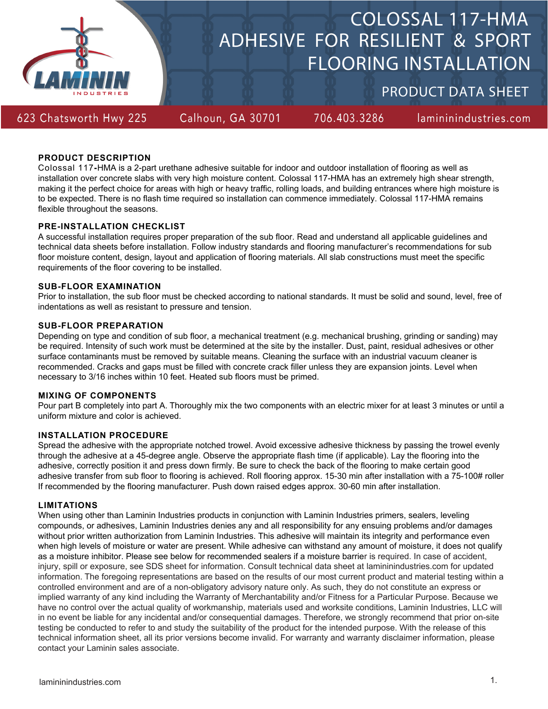

# ADHESIVE FOR RESILIENT & SPORT FLOORING INSTALLATION COLOSSAL 117-HMA

PRODUCT DATA SHEET

623 Chatsworth Hwy 225

Calhoun, GA 30701

706.403.3286

lamininindustries.com

### **PRODUCT DESCRIPTION**

Colossal 117**-**HMA is a 2-part urethane adhesive suitable for indoor and outdoor installation of flooring as well as installation over concrete slabs with very high moisture content. Colossal 117-HMA has an extremely high shear strength, making it the perfect choice for areas with high or heavy traffic, rolling loads, and building entrances where high moisture is to be expected. There is no flash time required so installation can commence immediately. Colossal 117-HMA remains flexible throughout the seasons.

### **PRE-INSTALLATION CHECKLIST**

A successful installation requires proper preparation of the sub floor. Read and understand all applicable guidelines and technical data sheets before installation. Follow industry standards and flooring manufacturer's recommendations for sub floor moisture content, design, layout and application of flooring materials. All slab constructions must meet the specific requirements of the floor covering to be installed.

### **SUB-FLOOR EXAMINATION**

Prior to installation, the sub floor must be checked according to national standards. It must be solid and sound, level, free of indentations as well as resistant to pressure and tension.

### **SUB-FLOOR PREPARATION**

Depending on type and condition of sub floor, a mechanical treatment (e.g. mechanical brushing, grinding or sanding) may be required. Intensity of such work must be determined at the site by the installer. Dust, paint, residual adhesives or other surface contaminants must be removed by suitable means. Cleaning the surface with an industrial vacuum cleaner is recommended. Cracks and gaps must be filled with concrete crack filler unless they are expansion joints. Level when necessary to 3/16 inches within 10 feet. Heated sub floors must be primed.

### **MIXING OF COMPONENTS**

Pour part B completely into part A. Thoroughly mix the two components with an electric mixer for at least 3 minutes or until a uniform mixture and color is achieved.

### **INSTALLATION PROCEDURE**

Spread the adhesive with the appropriate notched trowel. Avoid excessive adhesive thickness by passing the trowel evenly through the adhesive at a 45-degree angle. Observe the appropriate flash time (if applicable). Lay the flooring into the adhesive, correctly position it and press down firmly. Be sure to check the back of the flooring to make certain good adhesive transfer from sub floor to flooring is achieved. Roll flooring approx. 15-30 min after installation with a 75-100# roller If recommended by the flooring manufacturer. Push down raised edges approx. 30-60 min after installation.

### **LIMITATIONS**

When using other than Laminin Industries products in conjunction with Laminin Industries primers, sealers, leveling compounds, or adhesives, Laminin Industries denies any and all responsibility for any ensuing problems and/or damages without prior written authorization from Laminin Industries. This adhesive will maintain its integrity and performance even when high levels of moisture or water are present. While adhesive can withstand any amount of moisture, it does not qualify as a moisture inhibitor. Please see below for recommended sealers if a moisture barrier is required. In case of accident, injury, spill or exposure, see SDS sheet for information. Consult technical data sheet at lamininindustries.com for updated information. The foregoing representations are based on the results of our most current product and material testing within a controlled environment and are of a non-obligatory advisory nature only. As such, they do not constitute an express or implied warranty of any kind including the Warranty of Merchantability and/or Fitness for a Particular Purpose. Because we have no control over the actual quality of workmanship, materials used and worksite conditions, Laminin Industries, LLC will in no event be liable for any incidental and/or consequential damages. Therefore, we strongly recommend that prior on-site testing be conducted to refer to and study the suitability of the product for the intended purpose. With the release of this technical information sheet, all its prior versions become invalid. For warranty and warranty disclaimer information, please contact your Laminin sales associate.